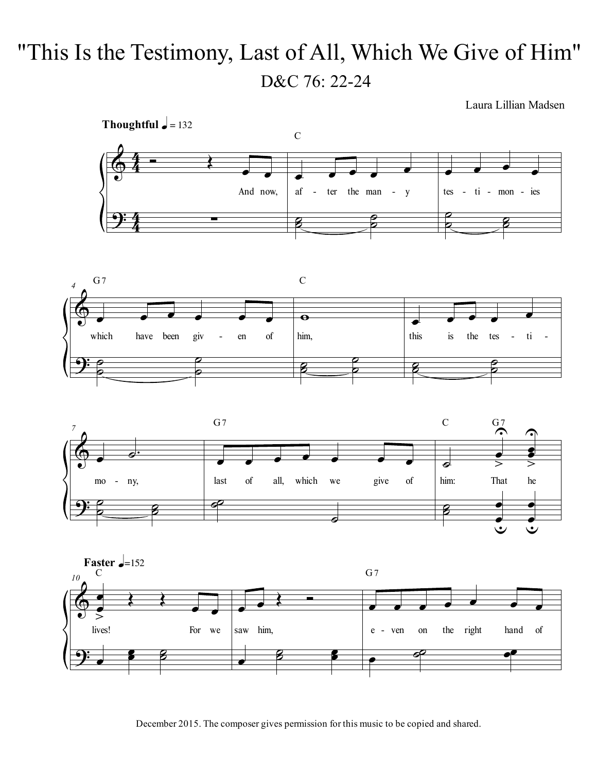## "This Is the Testimony, Last of All, Which We Give of Him" D&C 76: 22-24

Laura Lillian Madsen









December 2015. The composer gives permission for this music to be copied and shared.